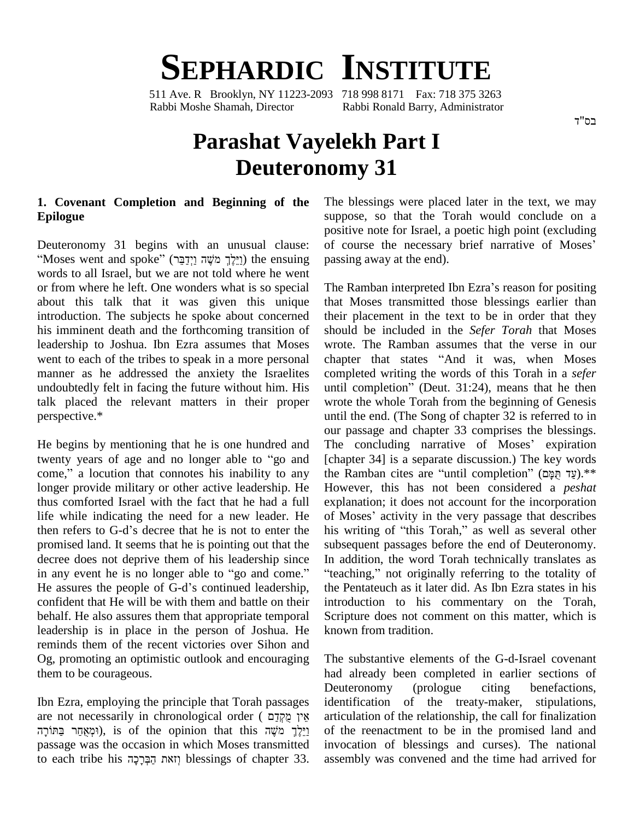# **SEPHARDIC INSTITUTE**

511 Ave. R Brooklyn, NY 11223-2093 718 998 8171 Fax: 718 375 3263 Rabbi Moshe Shamah, Director Rabbi Ronald Barry, Administrator

# **Parashat Vayelekh Part I Deuteronomy 31**

## **1. Covenant Completion and Beginning of the Epilogue**

Moses went and spoke<sup>î</sup> (ʸˎʒʣʔʍʩʔʥ ʤˇʓ <sup>ʮ</sup> ʪʍʬʓʒ˕ʔʥ) the ensuing words to all Israel, but we are not told where he went or from where he left. One wonders what is so special about this talk that it was given this unique introduction. The subjects he spoke about concerned his imminent death and the forthcoming transition of leadership to Joshua. Ibn Ezra assumes that Moses went to each of the tribes to speak in a more personal chapter that states "And it was, when Moses" manner as he addressed the anxiety the Israelites talk placed the relevant matters in their proper perspective.\*

He begins by mentioning that he is one hundred and The our pa<br>He begins by mentioning that he is one hundred and The<br>twenty years of age and no longer able to "go and [chapt He begins by mentioning that he is one hundred and The concluding narrative of Moses' expiration twenty years of age and no longer able to "go and [chapter 34] is a separate discussion.) The key words come," a locution th longer provide military or other active leadership. He thus comforted Israel with the fact that he had a full life while indicating the need for a new leader. He then refers to G-d's decree that he is not to enter the promised land. It seems that he is pointing out that the decree does not deprive them of his leadership since In addition, the word Torah technically translates as in any event he is no longer able to "go and come." "teaching," not originally referring to the totality of He assures the people of G-d's continued leadership, confident that He will be with them and battle on their behalf. He also assures them that appropriate temporal leadership is in place in the person of Joshua. He reminds them of the recent victories over Sihon and Og, promoting an optimistic outlook and encouraging them to be courageous.

Ibn Ezra, employing the principle that Torah passages De<br>Ibn Ezra, employing the principle that Torah passages ide<br>are not necessarily in chronological order ( אֵין מֻקְּדַם ra, employing the principle that Torah passages id<br>t necessarily in chronological order (אֵין מֻקְּדָם ar<br>gṛṛ (וּמְאֻחַר, is of the opinion that this יַיֵּלֶךְ מֹשֶׁה passage was the occasion in which Moses transmitted וַיַּלֶךְ מֹשֶׁה נַאֲקֹר בַּתּוֹרָה (וּמְאֻחַר בַּתּוֹרָה), is of the opinion that this וַיֵּלֶךְ מֹשֶׁה [1]<br>passage was the occasion in which Moses transmitted in<br>to each tribe his וְזאת הַבְּרָכָה blessings of chapter 3

Deuteronomy 31 begins with an unusual clause: of course the necessary brief narrative of Moses' The blessings were placed later in the text, we may suppose, so that the Torah would conclude on a<br>positive note for Israel, a poetic high point (excluding<br>of course the necessary brief narrative of Moses' positive note for Israel, a poetic high point (excluding passing away at the end).

undoubtedly felt in facing the future without him. His until completion" (Deut.  $31:24$ ), means that he then The Ramban interpreted Ibn Ezra's reason for positing that Moses transmitted those blessings earlier than their placement in the text to be in order that they should be included in the *Sefer Torah* that Moses<br>wrote. The Ramban assumes that the verse in our<br>chapter that states "And it was, when Moses wrote. The Ramban assumes that the verse in our completed writing the words of this Torah in a *sefer* chapter that states "And it was, when Moses<br>completed writing the words of this Torah in a *sefer*<br>until completion" (Deut. 31:24), means that he then wrote the whole Torah from the beginning of Genesis until the end. (The Song of chapter 32 is referred to in<br>our passage and chapter 33 comprises the blessings.<br>The concluding narrative of Moses' expiration our passage and chapter 33 comprises the blessings. [chapter 34] is a separate discussion.) The key words the concluding narrative of Moses' expiration<br>[chapter 34] is a separate discussion.) The key words<br>the Ramban cites are "until completion" (עֲד חֲמָם).\*\* However, this has not been considered a *peshat* explanation; it does not account for the incorporation of Moses' activity in the very passage that describes his writing of "this Torah," as well as several other subsequent passages before the end of Deuteronomy.<br>In addition, the word Torah technically translates as<br>"teaching," not originally referring to the totality of the Pentateuch as it later did. As Ibn Ezra states in his introduction to his commentary on the Torah, Scripture does not comment on this matter, which is

> The substantive elements of the G-d-Israel covenant had already been completed in earlier sections of Deuteronomy (prologue citing benefactions, identification of the treaty-maker, stipulations, articulation of the relationship, the call for finalization of the reenactment to be in the promised land and invocation of blessings and curses). The national assembly was convened and the time had arrived for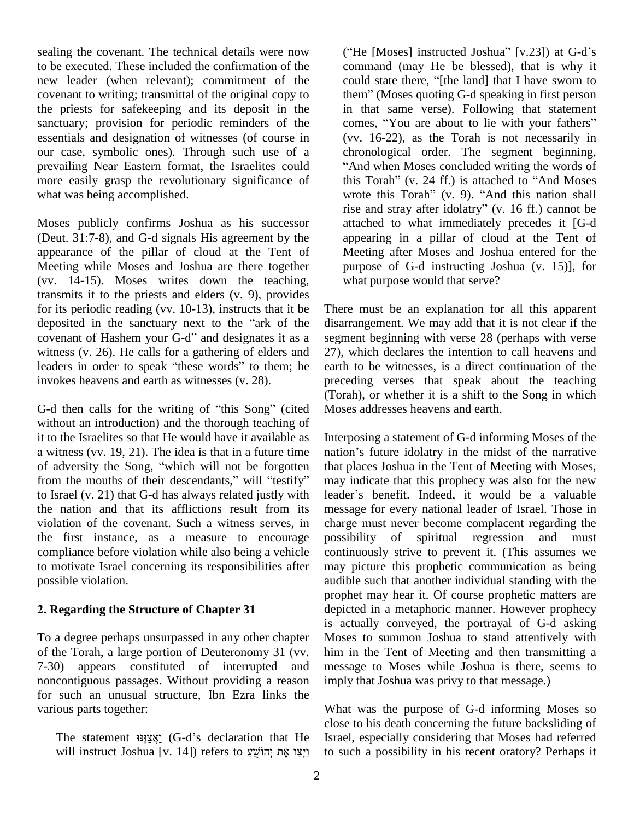sealing the covenant. The technical details were now to be executed. These included the confirmation of the new leader (when relevant); commitment of the could state there, "[the land] that I have sworn to covenant to writing; transmittal of the original copy to the priests for safekeeping and its deposit in the sanctuary; provision for periodic reminders of the comes, "You are about to lie with your fathers" essentials and designation of witnesses (of course in our case, symbolic ones). Through such use of a prevailing Near Eastern format, the Israelites could more easily grasp the revolutionary significance of what was being accomplished.

Moses publicly confirms Joshua as his successor (Deut. 31:7-8), and G-d signals His agreement by the appearance of the pillar of cloud at the Tent of Meeting while Moses and Joshua are there together (vv. 14-15). Moses writes down the teaching, transmits it to the priests and elders (v. 9), provides for its periodic reading (vv. 10-13), instructs that it be transmits it to the priests and elders (v. 9), provides<br>for its periodic reading (vv. 10-13), instructs that it be<br>deposited in the sanctuary next to the "ark of the disari for its periodic reading (vv. 10-13), instructs that it be<br>deposited in the sanctuary next to the "ark of the disarre<br>covenant of Hashem your G-d" and designates it as a segm witness (v. 26). He calls for a gathering of elders and covenant of Hashem your G-d" and designates it as a witness (v. 26). He calls for a gathering of elders and leaders in order to speak "these words" to them; he invokes heavens and earth as witnesses (v. 28).

G-d then calls for the writing of "this Song" (cited without an introduction) and the thorough teaching of it to the Israelites so that He would have it available as a witness (vv. 19, 21). The idea is that in a future time nation's future idolatry in the midst of the narrative of adversity the Song, "which will not be forgotten from the mouths of their descendants," will "testify" to Israel (v. 21) that G-d has always related justly with leader's benefit. Indeed, it would be a valuable the nation and that its afflictions result from its violation of the covenant. Such a witness serves, in the first instance, as a measure to encourage compliance before violation while also being a vehicle to motivate Israel concerning its responsibilities after possible violation.

#### **. Regarding the Structure of Chapter 31**

To a degree perhaps unsurpassed in any other chapter of the Torah, a large portion of Deuteronomy 31 (vv. 7-30) appears constituted of interrupted and noncontiguous passages. Without providing a reason for such an unusual structure, Ibn Ezra links the various parts together:

The statement אֲצַוְנוּ (G-d's declaration that He will instruct Joshua [v. 14]) refers to יְהוֹשֵׁעַ אֵת יְהוֹשֵׁעַ ("He [Moses] instructed Joshua"  $[v.23]$ ) at G-d's command (may He be blessed), that is why it ("He [Moses] instructed Joshua" [v.23]) at G-d's command (may He be blessed), that is why it could state there, "[the land] that I have sworn to command (may He be blessed), that is why it<br>could state there, "[the land] that I have sworn to<br>them" (Moses quoting G-d speaking in first person in that same verse). Following that statement them" (Moses quoting G-d speaking in first person<br>in that same verse). Following that statement<br>comes, "You are about to lie with your fathers" (vv. 16-22), as the Torah is not necessarily in (vv. 16-22), as the Torah is not necessarily in chronological order. The segment beginning, "And when Moses concluded writing the words of this Torah" (v. 24 ff.) is attached to "And Moses wrote this Torah" (v. 9). "And this nation shall chronological order. The segment beginning,<br>"And when Moses concluded writing the words of<br>this Torah" (v. 24 ff.) is attached to "And Moses this Torah" (v. 24 ff.) is attached to "And Moses wrote this Torah" (v. 9). "And this nation shall rise and stray after idolatry" (v. 16 ff.) cannot be attached to what immediately precedes it [G-d appearing in a pillar of cloud at the Tent of Meeting after Moses and Joshua entered for the purpose of G-d instructing Joshua (v. 15)], for what purpose would that serve?

There must be an explanation for all this apparent disarrangement. We may add that it is not clear if the segment beginning with verse 28 (perhaps with verse 27), which declares the intention to call heavens and earth to be witnesses, is a direct continuation of the preceding verses that speak about the teaching (Torah), or whether it is a shift to the Song in which Moses addresses heavens and earth.

Interposing a statement of G-d informing Moses of the Interposing a statement of G-d informing Moses of the<br>nation's future idolatry in the midst of the narrative that places Joshua in the Tent of Meeting with Moses, may indicate that this prophecy was also for the new that places Joshua in the Tent of Meeting with Moses,<br>may indicate that this prophecy was also for the new<br>leader's benefit. Indeed, it would be a valuable message for every national leader of Israel. Those in charge must never become complacent regarding the possibility of spiritual regression and must continuously strive to prevent it. (This assumes we may picture this prophetic communication as being audible such that another individual standing with the prophet may hear it. Of course prophetic matters are depicted in a metaphoric manner. However prophecy is actually conveyed, the portrayal of G-d asking Moses to summon Joshua to stand attentively with him in the Tent of Meeting and then transmitting a message to Moses while Joshua is there, seems to imply that Joshua was privy to that message.)

What was the purpose of G-d informing Moses so close to his death concerning the future backsliding of Israel, especially considering that Moses had referred to such a possibility in his recent oratory? Perhaps it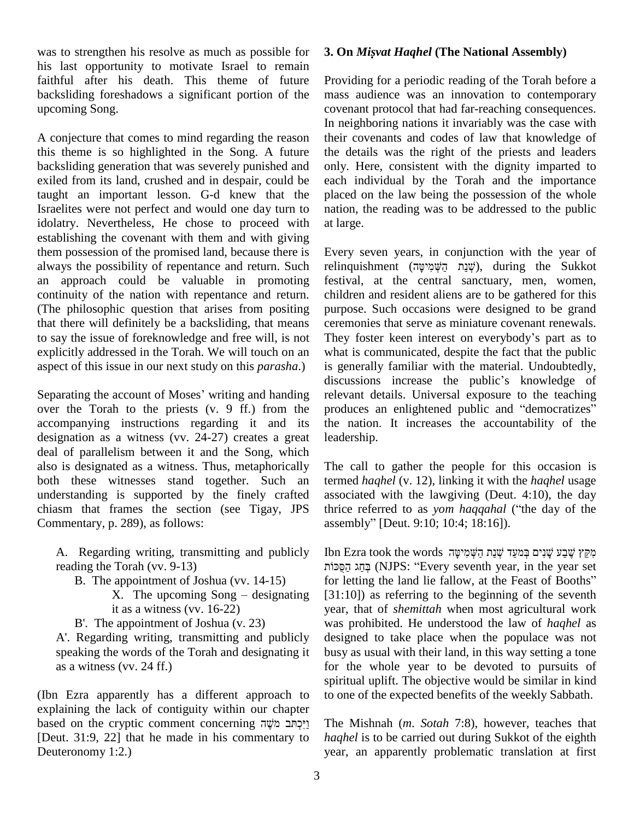was to strengthen his resolve as much as possible for his last opportunity to motivate Israel to remain faithful after his death. This theme of future backsliding foreshadows a significant portion of the upcoming Song.

A conjecture that comes to mind regarding the reason this theme is so highlighted in the Song. A future backsliding generation that was severely punished and exiled from its land, crushed and in despair, could be taught an important lesson. G-d knew that the Israelites were not perfect and would one day turn to idolatry. Nevertheless, He chose to proceed with establishing the covenant with them and with giving them possession of the promised land, because there is always the possibility of repentance and return. Such an approach could be valuable in promoting continuity of the nation with repentance and return. (The philosophic question that arises from positing that there will definitely be a backsliding, that means to say the issue of foreknowledge and free will, is not They foster keen interest on everybody's part as to explicitly addressed in the Torah. We will touch on an aspect of this issue in our next study on this *parasha*.)

Separating the account of Moses' writing and handing over the Torah to the priests (v. 9 ff.) from the accompanying instructions regarding it and its the nation. It increases the accountability of the designation as a witness (vv. 24-27) creates a great deal of parallelism between it and the Song, which also is designated as a witness. Thus, metaphorically both these witnesses stand together. Such an understanding is supported by the finely crafted chiasm that frames the section (see Tigay, JPS thrice referred to as yom haggahal ("the day of the Commentary, p. 289), as follows:

A. Regarding writing, transmitting and publicly reading the Torah (vv.  $9-13$ )

- B. The appointment of Joshua (vv. 14-15)
	- it as a witness (vv. 16-22)

B'. The appointment of Joshua (v. 23)

A'. Regarding writing, transmitting and publicly speaking the words of the Torah and designating it as a witness (vv. 24 ff.)

(Ibn Ezra apparently has a different approach to to one explaining the lack of contiguity within our chapter based on the cryptic comment concerning  $\gamma$ יַרְתּב מֹשֶׁה The M explaining the lack of contiguity within our chapter [Deut. 31:9, 22] that he made in his commentary to Deuteronomy 1:2.)

## **3. On** *Misvat Haqhel* **(The National Assembly)**

Providing for a periodic reading of the Torah before a mass audience was an innovation to contemporary covenant protocol that had far-reaching consequences. In neighboring nations it invariably was the case with their covenants and codes of law that knowledge of the details was the right of the priests and leaders only. Here, consistent with the dignity imparted to each individual by the Torah and the importance placed on the law being the possession of the whole nation, the reading was to be addressed to the public at large.

Every seven years, in conjunction with the year of Fvery seven years, in conjunction with the year of<br>relinquishment (שְׁנַת הַשְּׁמִישָּׁה), during the Sukkot festival, at the central sanctuary, men, women, children and resident aliens are to be gathered for this purpose. Such occasions were designed to be grand<br>ceremonies that serve as miniature covenant renewals.<br>They foster keen interest on everybody's part as to ceremonies that serve as miniature covenant renewals. what is communicated, despite the fact that the public is generally familiar with the material. Undoubtedly, discussions increase the public's knowledge of relevant details. Universal exposure to the teaching discussions increase the public's knowledge of<br>relevant details. Universal exposure to the teaching<br>produces an enlightened public and "democratizes" relevant details. Universal exposure to the teaching<br>produces an enlightened public and "democratizes"<br>the nation. It increases the accountability of the leadership.

The call to gather the people for this occasion is termed *haqhel* (v. 12), linking it with the *haqhel* usage associated with the lawgiving (Deut. 4:10), the day termed *haqhel* (v. 12), linking it with the *haqhel* usage<br>associated with the lawgiving (Deut. 4:10), the day<br>thrice referred to as *yom haqqahal* ("the day of the associated with the lawgiving (Deut. 4:<br>thrice referred to as *yom haqqahal* ("the<br>assembly" [Deut. 9:10; 10:4; 18:16]).

represent in appointment of Joshua (vv. 14-15) for letting the land lie fallow, at the Feast of Booths"<br>X. The upcoming Song – designating [31:10]) as referring to the beginning of the seventh issembly" [Deut. 9:10; 10:4; 18:16]).<br>Ibn Ezra took the words קִּקֵּץ שֵׁבַע שֲׁנִים בִּמִעֲד שָׁנַת הָשָּׁמִיטַּה cra took the words מְקֵץ שֶׁבָע שֶׁנִים בְּמִעֵד שְׁנַת הַשְּׁמִיטָּה<br>פְחַג (NJPS: ''Every seventh year, in the year set for Ezra took the words מִקֵּץ שֶׁבַע שֶׁנִים בְּמִעֵּד שְׁנַת הַשְּׁמִישָּׁה<br>הַחֲג הַסֻּכּוֹת (NJPS: ''Every seventh year, in the year set<br>for letting the land lie fallow, at the Feast of Booths''  $[31:10]$ ) as referring to the beginning of the seventh year, that of *shemittah* when most agricultural work was prohibited. He understood the law of *haqhel* as designed to take place when the populace was not busy as usual with their land, in this way setting a tone for the whole year to be devoted to pursuits of spiritual uplift. The objective would be similar in kind to one of the expected benefits of the weekly Sabbath.

> The Mishnah (*m*.*Sotah* 7:8), however, teaches that *haqhel* is to be carried out during Sukkot of the eighth year, an apparently problematic translation at first